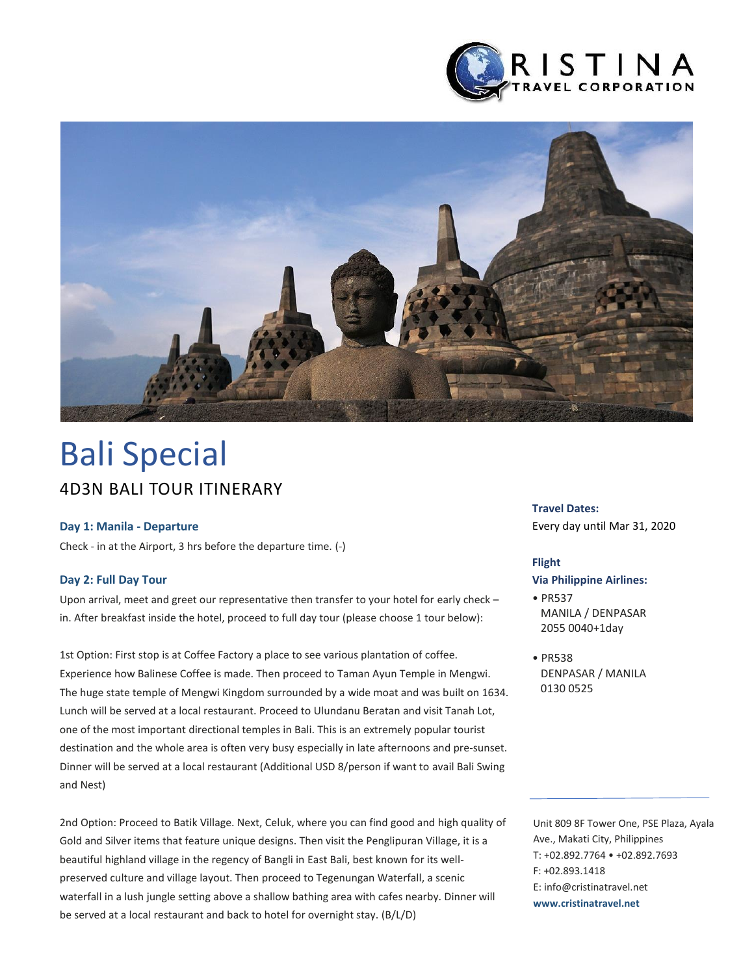



# 4D3N BALI TOUR ITINERARY Bali Special

#### **Day 1: Manila - Departure**

Check - in at the Airport, 3 hrs before the departure time. (-)

#### **Day 2: Full Day Tour**

Upon arrival, meet and greet our representative then transfer to your hotel for early check – in. After breakfast inside the hotel, proceed to full day tour (please choose 1 tour below):

1st Option: First stop is at Coffee Factory a place to see various plantation of coffee. Experience how Balinese Coffee is made. Then proceed to Taman Ayun Temple in Mengwi. The huge state temple of Mengwi Kingdom surrounded by a wide moat and was built on 1634. Lunch will be served at a local restaurant. Proceed to Ulundanu Beratan and visit Tanah Lot, one of the most important directional temples in Bali. This is an extremely popular tourist destination and the whole area is often very busy especially in late afternoons and pre-sunset. Dinner will be served at a local restaurant (Additional USD 8/person if want to avail Bali Swing and Nest)

2nd Option: Proceed to Batik Village. Next, Celuk, where you can find good and high quality of Gold and Silver items that feature unique designs. Then visit the Penglipuran Village, it is a beautiful highland village in the regency of Bangli in East Bali, best known for its wellpreserved culture and village layout. Then proceed to Tegenungan Waterfall, a scenic waterfall in a lush jungle setting above a shallow bathing area with cafes nearby. Dinner will be served at a local restaurant and back to hotel for overnight stay. (B/L/D)

#### **Travel Dates:**

Every day until Mar 31, 2020

#### **Flight**

#### **Via Philippine Airlines:**

• PR537 MANILA / DENPASAR 2055 0040+1day

• PR538 DENPASAR / MANILA 0130 0525

Unit 809 8F Tower One, PSE Plaza, Ayala Ave., Makati City, Philippines T: +02.892.7764 • +02.892.7693 F: +02.893.1418 E: info@cristinatravel.net **www.cristinatravel.net**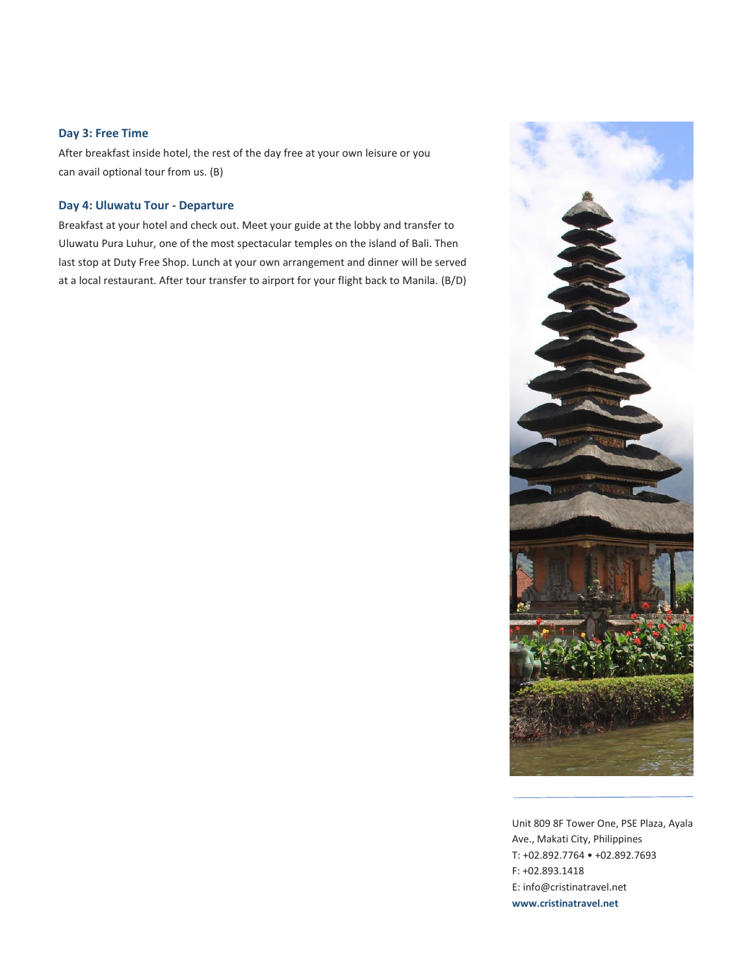#### **Day 3: Free Time**

After breakfast inside hotel, the rest of the day free at your own leisure or you can avail optional tour from us. (B)

#### **Day 4: Uluwatu Tour - Departure**

Breakfast at your hotel and check out. Meet your guide at the lobby and transfer to Uluwatu Pura Luhur, one of the most spectacular temples on the island of Bali. Then last stop at Duty Free Shop. Lunch at your own arrangement and dinner will be served at a local restaurant. After tour transfer to airport for your flight back to Manila. (B/D)



Unit 809 8F Tower One, PSE Plaza, Ayala Ave., Makati City, Philippines T: +02.892.7764 • +02.892.7693 F: +02.893.1418 E: info@cristinatravel.net **www.cristinatravel.net**